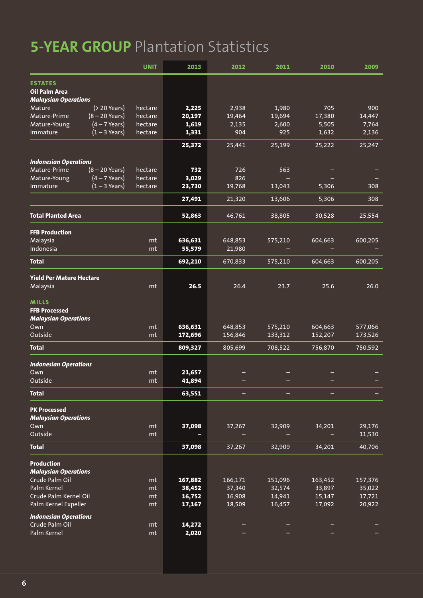## **5-YEAR GROUP** Plantation Statistics

|                                                | <b>UNIT</b>            | 2013    | 2012    | 2011    | 2010    | 2009    |
|------------------------------------------------|------------------------|---------|---------|---------|---------|---------|
| <b>ESTATES</b>                                 |                        |         |         |         |         |         |
| Oil Palm Area                                  |                        |         |         |         |         |         |
| <b>Malaysian Operations</b>                    |                        |         |         |         |         |         |
| Mature<br>$( > 20$ Years)                      | hectare                | 2,225   | 2,938   | 1,980   | 705     | 900     |
| Mature-Prime<br>$(8 - 20$ Years)               | hectare                | 20,197  | 19,464  | 19,694  | 17,380  | 14,447  |
| Mature-Young<br>$(4 - 7$ Years)                | hectare                | 1,619   | 2,135   | 2,600   | 5,505   | 7,764   |
| $(1 - 3$ Years)<br>Immature                    | hectare                | 1,331   | 904     | 925     | 1,632   | 2,136   |
|                                                |                        | 25,372  | 25,441  | 25,199  | 25,222  | 25,247  |
|                                                |                        |         |         |         |         |         |
| <b>Indonesian Operations</b>                   |                        |         |         |         |         |         |
| Mature-Prime<br>$(8 - 20$ Years)               | hectare                | 732     | 726     | 563     |         |         |
| Mature-Young<br>$(4 - 7$ Years)                | hectare                | 3,029   | 826     |         |         |         |
| $(1 - 3$ Years)<br>Immature                    | hectare                | 23,730  | 19,768  | 13,043  | 5,306   | 308     |
|                                                |                        | 27,491  | 21,320  | 13,606  | 5,306   | 308     |
| <b>Total Planted Area</b>                      |                        | 52,863  | 46,761  | 38,805  | 30,528  | 25,554  |
| <b>FFB Production</b>                          |                        |         |         |         |         |         |
| Malaysia                                       | mt                     | 636,631 | 648,853 | 575,210 | 604,663 | 600,205 |
| Indonesia                                      | mt                     | 55,579  | 21,980  |         |         |         |
| <b>Total</b>                                   |                        | 692,210 | 670,833 | 575,210 | 604,663 | 600,205 |
|                                                |                        |         |         |         |         |         |
| <b>Yield Per Mature Hectare</b>                |                        |         |         |         |         |         |
| Malaysia                                       | mt                     | 26.5    | 26.4    | 23.7    | 25.6    | 26.0    |
| <b>MILLS</b>                                   |                        |         |         |         |         |         |
| <b>FFB Processed</b>                           |                        |         |         |         |         |         |
| <b>Malaysian Operations</b>                    |                        |         |         |         |         |         |
| Own                                            | mt                     | 636,631 | 648,853 | 575,210 | 604,663 | 577,066 |
| Outside                                        | mt                     | 172,696 | 156,846 | 133,312 | 152,207 | 173,526 |
| <b>Total</b>                                   |                        | 809,327 | 805,699 | 708,522 | 756,870 | 750,592 |
| <b>Indonesian Operations</b>                   |                        |         |         |         |         |         |
| Own                                            | mt                     | 21,657  |         |         |         |         |
| Outside                                        | $\mathsf{m}\mathsf{t}$ | 41,894  |         |         |         |         |
|                                                |                        |         |         |         |         |         |
| <b>Total</b>                                   |                        | 63,551  |         |         |         |         |
| <b>PK Processed</b>                            |                        |         |         |         |         |         |
| <b>Malaysian Operations</b>                    |                        |         |         |         |         |         |
| Own                                            | mt                     | 37,098  | 37,267  | 32,909  | 34,201  | 29,176  |
| Outside                                        | mt                     |         |         |         |         | 11,530  |
| <b>Total</b>                                   |                        | 37,098  | 37,267  | 32,909  | 34,201  | 40,706  |
| Production                                     |                        |         |         |         |         |         |
| <b>Malaysian Operations</b>                    |                        |         |         |         |         |         |
| Crude Palm Oil                                 | mt                     | 167,882 | 166,171 | 151,096 | 163,452 | 157,376 |
| Palm Kernel                                    | mt                     | 38,452  | 37,340  | 32,574  | 33,897  | 35,022  |
| Crude Palm Kernel Oil                          | mt                     | 16,752  | 16,908  | 14,941  | 15,147  | 17,721  |
| Palm Kernel Expeller                           | mt                     | 17,167  | 18,509  | 16,457  | 17,092  | 20,922  |
|                                                |                        |         |         |         |         |         |
| <b>Indonesian Operations</b><br>Crude Palm Oil | mt                     | 14,272  |         |         |         |         |
| Palm Kernel                                    | mt                     | 2,020   |         |         |         |         |
|                                                |                        |         |         |         |         |         |